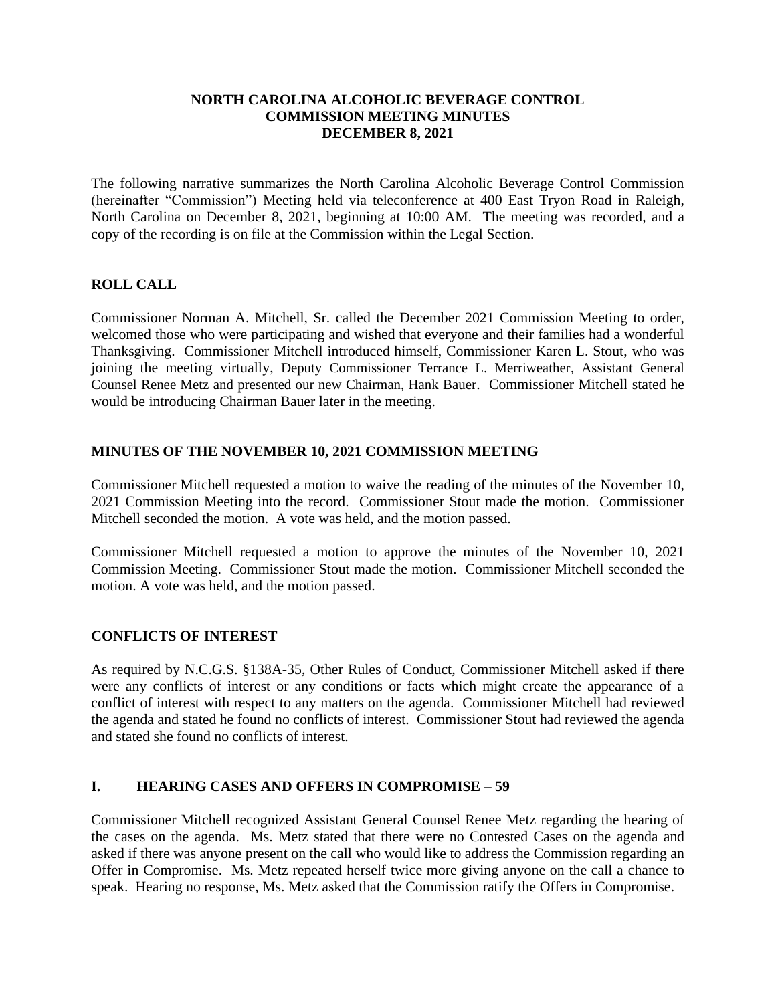#### **NORTH CAROLINA ALCOHOLIC BEVERAGE CONTROL COMMISSION MEETING MINUTES DECEMBER 8, 2021**

The following narrative summarizes the North Carolina Alcoholic Beverage Control Commission (hereinafter "Commission") Meeting held via teleconference at 400 East Tryon Road in Raleigh, North Carolina on December 8, 2021, beginning at 10:00 AM. The meeting was recorded, and a copy of the recording is on file at the Commission within the Legal Section.

## **ROLL CALL**

Commissioner Norman A. Mitchell, Sr. called the December 2021 Commission Meeting to order, welcomed those who were participating and wished that everyone and their families had a wonderful Thanksgiving. Commissioner Mitchell introduced himself, Commissioner Karen L. Stout, who was joining the meeting virtually, Deputy Commissioner Terrance L. Merriweather, Assistant General Counsel Renee Metz and presented our new Chairman, Hank Bauer. Commissioner Mitchell stated he would be introducing Chairman Bauer later in the meeting.

## **MINUTES OF THE NOVEMBER 10, 2021 COMMISSION MEETING**

Commissioner Mitchell requested a motion to waive the reading of the minutes of the November 10, 2021 Commission Meeting into the record. Commissioner Stout made the motion. Commissioner Mitchell seconded the motion. A vote was held, and the motion passed.

Commissioner Mitchell requested a motion to approve the minutes of the November 10, 2021 Commission Meeting. Commissioner Stout made the motion. Commissioner Mitchell seconded the motion. A vote was held, and the motion passed.

#### **CONFLICTS OF INTEREST**

As required by N.C.G.S. §138A-35, Other Rules of Conduct, Commissioner Mitchell asked if there were any conflicts of interest or any conditions or facts which might create the appearance of a conflict of interest with respect to any matters on the agenda. Commissioner Mitchell had reviewed the agenda and stated he found no conflicts of interest. Commissioner Stout had reviewed the agenda and stated she found no conflicts of interest.

## **I. HEARING CASES AND OFFERS IN COMPROMISE – 59**

Commissioner Mitchell recognized Assistant General Counsel Renee Metz regarding the hearing of the cases on the agenda. Ms. Metz stated that there were no Contested Cases on the agenda and asked if there was anyone present on the call who would like to address the Commission regarding an Offer in Compromise. Ms. Metz repeated herself twice more giving anyone on the call a chance to speak. Hearing no response, Ms. Metz asked that the Commission ratify the Offers in Compromise.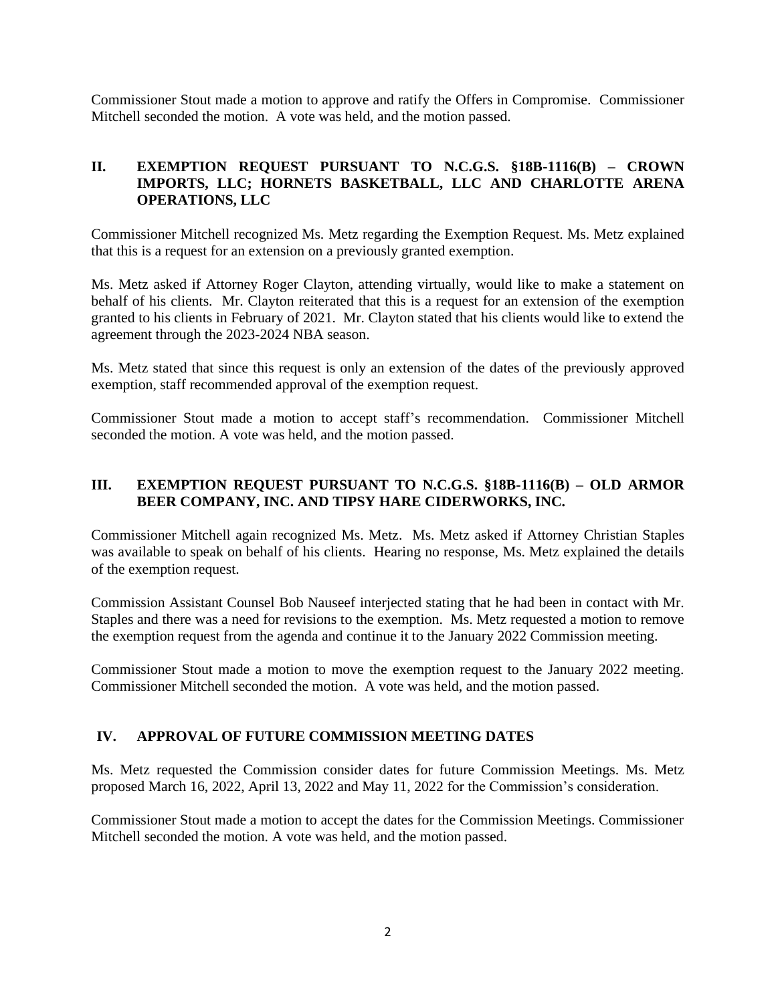Commissioner Stout made a motion to approve and ratify the Offers in Compromise. Commissioner Mitchell seconded the motion. A vote was held, and the motion passed.

## **II. EXEMPTION REQUEST PURSUANT TO N.C.G.S. §18B-1116(B) – CROWN IMPORTS, LLC; HORNETS BASKETBALL, LLC AND CHARLOTTE ARENA OPERATIONS, LLC**

Commissioner Mitchell recognized Ms. Metz regarding the Exemption Request. Ms. Metz explained that this is a request for an extension on a previously granted exemption.

Ms. Metz asked if Attorney Roger Clayton, attending virtually, would like to make a statement on behalf of his clients. Mr. Clayton reiterated that this is a request for an extension of the exemption granted to his clients in February of 2021. Mr. Clayton stated that his clients would like to extend the agreement through the 2023-2024 NBA season.

Ms. Metz stated that since this request is only an extension of the dates of the previously approved exemption, staff recommended approval of the exemption request.

Commissioner Stout made a motion to accept staff's recommendation. Commissioner Mitchell seconded the motion. A vote was held, and the motion passed.

## **III. EXEMPTION REQUEST PURSUANT TO N.C.G.S. §18B-1116(B) – OLD ARMOR BEER COMPANY, INC. AND TIPSY HARE CIDERWORKS, INC.**

Commissioner Mitchell again recognized Ms. Metz. Ms. Metz asked if Attorney Christian Staples was available to speak on behalf of his clients. Hearing no response, Ms. Metz explained the details of the exemption request.

Commission Assistant Counsel Bob Nauseef interjected stating that he had been in contact with Mr. Staples and there was a need for revisions to the exemption. Ms. Metz requested a motion to remove the exemption request from the agenda and continue it to the January 2022 Commission meeting.

Commissioner Stout made a motion to move the exemption request to the January 2022 meeting. Commissioner Mitchell seconded the motion. A vote was held, and the motion passed.

## **IV. APPROVAL OF FUTURE COMMISSION MEETING DATES**

Ms. Metz requested the Commission consider dates for future Commission Meetings. Ms. Metz proposed March 16, 2022, April 13, 2022 and May 11, 2022 for the Commission's consideration.

Commissioner Stout made a motion to accept the dates for the Commission Meetings. Commissioner Mitchell seconded the motion. A vote was held, and the motion passed.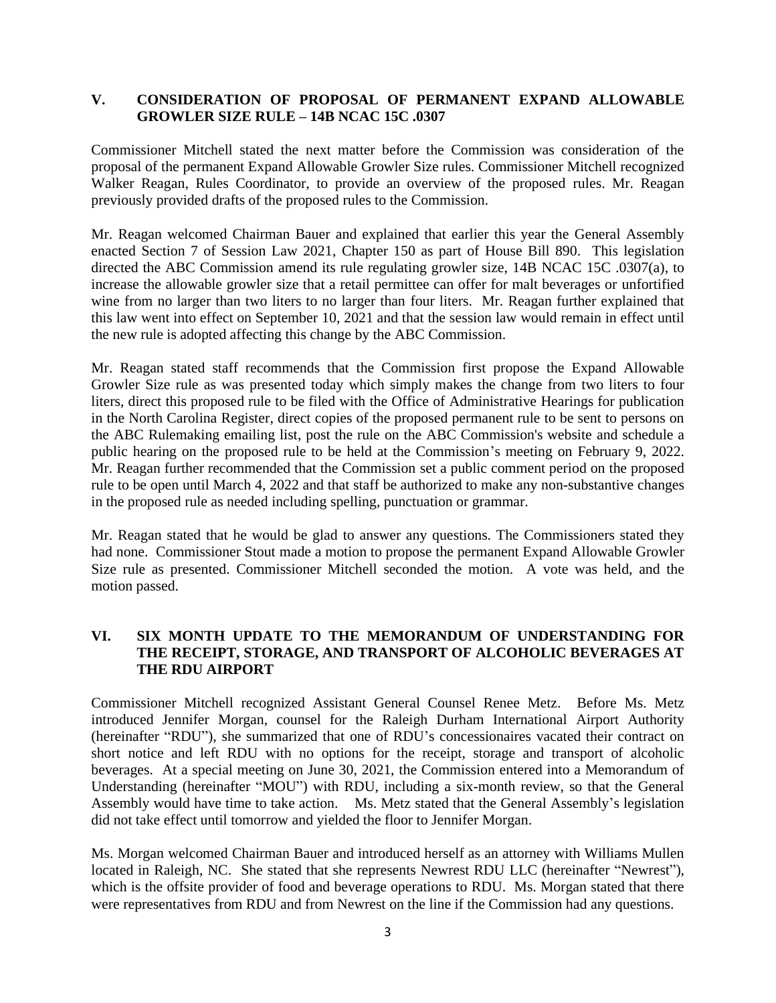## **V. CONSIDERATION OF PROPOSAL OF PERMANENT EXPAND ALLOWABLE GROWLER SIZE RULE – 14B NCAC 15C .0307**

Commissioner Mitchell stated the next matter before the Commission was consideration of the proposal of the permanent Expand Allowable Growler Size rules. Commissioner Mitchell recognized Walker Reagan, Rules Coordinator, to provide an overview of the proposed rules. Mr. Reagan previously provided drafts of the proposed rules to the Commission.

Mr. Reagan welcomed Chairman Bauer and explained that earlier this year the General Assembly enacted Section 7 of Session Law 2021, Chapter 150 as part of House Bill 890. This legislation directed the ABC Commission amend its rule regulating growler size, 14B NCAC 15C .0307(a), to increase the allowable growler size that a retail permittee can offer for malt beverages or unfortified wine from no larger than two liters to no larger than four liters. Mr. Reagan further explained that this law went into effect on September 10, 2021 and that the session law would remain in effect until the new rule is adopted affecting this change by the ABC Commission.

Mr. Reagan stated staff recommends that the Commission first propose the Expand Allowable Growler Size rule as was presented today which simply makes the change from two liters to four liters, direct this proposed rule to be filed with the Office of Administrative Hearings for publication in the North Carolina Register, direct copies of the proposed permanent rule to be sent to persons on the ABC Rulemaking emailing list, post the rule on the ABC Commission's website and schedule a public hearing on the proposed rule to be held at the Commission's meeting on February 9, 2022. Mr. Reagan further recommended that the Commission set a public comment period on the proposed rule to be open until March 4, 2022 and that staff be authorized to make any non-substantive changes in the proposed rule as needed including spelling, punctuation or grammar.

Mr. Reagan stated that he would be glad to answer any questions. The Commissioners stated they had none. Commissioner Stout made a motion to propose the permanent Expand Allowable Growler Size rule as presented. Commissioner Mitchell seconded the motion. A vote was held, and the motion passed.

# **VI. SIX MONTH UPDATE TO THE MEMORANDUM OF UNDERSTANDING FOR THE RECEIPT, STORAGE, AND TRANSPORT OF ALCOHOLIC BEVERAGES AT THE RDU AIRPORT**

Commissioner Mitchell recognized Assistant General Counsel Renee Metz. Before Ms. Metz introduced Jennifer Morgan, counsel for the Raleigh Durham International Airport Authority (hereinafter "RDU"), she summarized that one of RDU's concessionaires vacated their contract on short notice and left RDU with no options for the receipt, storage and transport of alcoholic beverages. At a special meeting on June 30, 2021, the Commission entered into a Memorandum of Understanding (hereinafter "MOU") with RDU, including a six-month review, so that the General Assembly would have time to take action. Ms. Metz stated that the General Assembly's legislation did not take effect until tomorrow and yielded the floor to Jennifer Morgan.

Ms. Morgan welcomed Chairman Bauer and introduced herself as an attorney with Williams Mullen located in Raleigh, NC. She stated that she represents Newrest RDU LLC (hereinafter "Newrest"), which is the offsite provider of food and beverage operations to RDU. Ms. Morgan stated that there were representatives from RDU and from Newrest on the line if the Commission had any questions.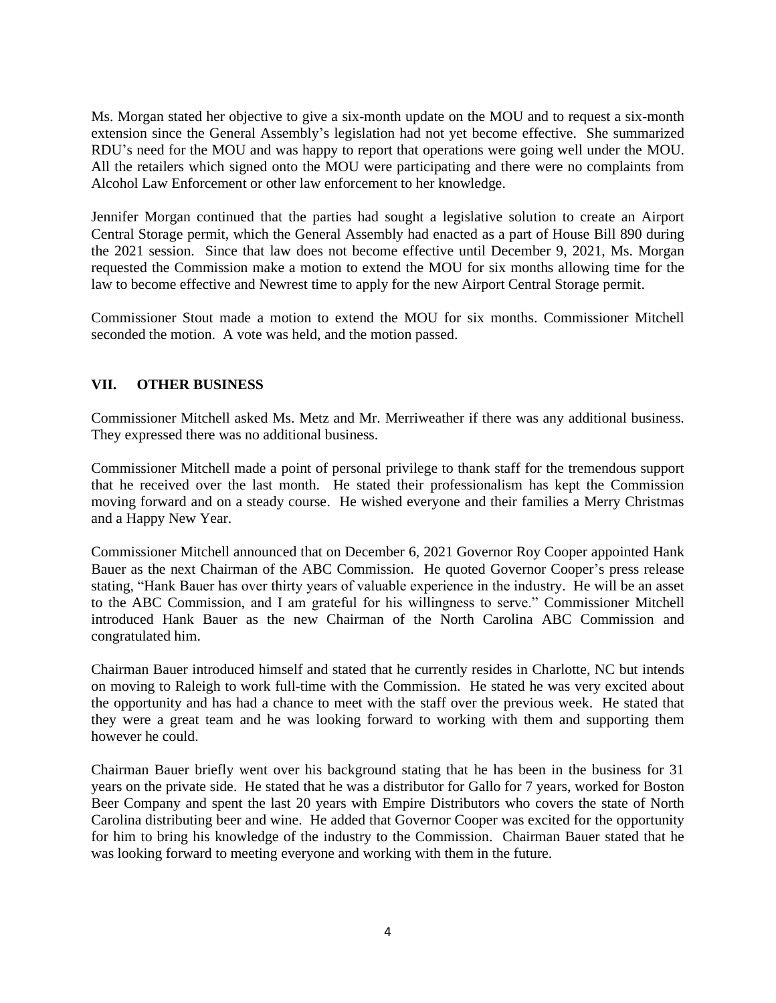Ms. Morgan stated her objective to give a six-month update on the MOU and to request a six-month extension since the General Assembly's legislation had not yet become effective. She summarized RDU's need for the MOU and was happy to report that operations were going well under the MOU. All the retailers which signed onto the MOU were participating and there were no complaints from Alcohol Law Enforcement or other law enforcement to her knowledge.

Jennifer Morgan continued that the parties had sought a legislative solution to create an Airport Central Storage permit, which the General Assembly had enacted as a part of House Bill 890 during the 2021 session. Since that law does not become effective until December 9, 2021, Ms. Morgan requested the Commission make a motion to extend the MOU for six months allowing time for the law to become effective and Newrest time to apply for the new Airport Central Storage permit.

Commissioner Stout made a motion to extend the MOU for six months. Commissioner Mitchell seconded the motion. A vote was held, and the motion passed.

## **VII. OTHER BUSINESS**

Commissioner Mitchell asked Ms. Metz and Mr. Merriweather if there was any additional business. They expressed there was no additional business.

Commissioner Mitchell made a point of personal privilege to thank staff for the tremendous support that he received over the last month. He stated their professionalism has kept the Commission moving forward and on a steady course. He wished everyone and their families a Merry Christmas and a Happy New Year.

Commissioner Mitchell announced that on December 6, 2021 Governor Roy Cooper appointed Hank Bauer as the next Chairman of the ABC Commission. He quoted Governor Cooper's press release stating, "Hank Bauer has over thirty years of valuable experience in the industry. He will be an asset to the ABC Commission, and I am grateful for his willingness to serve." Commissioner Mitchell introduced Hank Bauer as the new Chairman of the North Carolina ABC Commission and congratulated him.

Chairman Bauer introduced himself and stated that he currently resides in Charlotte, NC but intends on moving to Raleigh to work full-time with the Commission. He stated he was very excited about the opportunity and has had a chance to meet with the staff over the previous week. He stated that they were a great team and he was looking forward to working with them and supporting them however he could.

Chairman Bauer briefly went over his background stating that he has been in the business for 31 years on the private side. He stated that he was a distributor for Gallo for 7 years, worked for Boston Beer Company and spent the last 20 years with Empire Distributors who covers the state of North Carolina distributing beer and wine. He added that Governor Cooper was excited for the opportunity for him to bring his knowledge of the industry to the Commission. Chairman Bauer stated that he was looking forward to meeting everyone and working with them in the future.